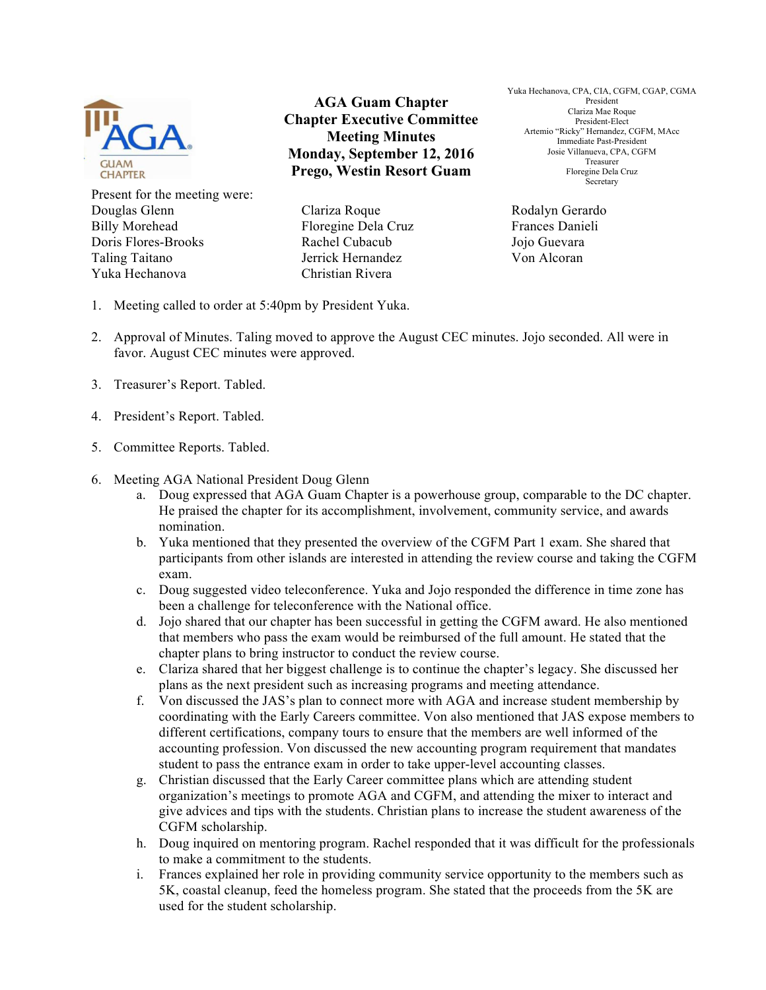

Present for the meeting were: Douglas Glenn Billy Morehead Doris Flores-Brooks Taling Taitano Yuka Hechanova

**AGA Guam Chapter Chapter Executive Committee Meeting Minutes Monday, September 12, 2016 Prego, Westin Resort Guam**

Clariza Roque Floregine Dela Cruz Rachel Cubacub Jerrick Hernandez Christian Rivera

Yuka Hechanova, CPA, CIA, CGFM, CGAP, CGMA President Clariza Mae Roque President-Elect Artemio "Ricky" Hernandez, CGFM, MAcc Immediate Past-President Josie Villanueva, CPA, CGFM Treasurer Floregine Dela Cruz Secretary

Rodalyn Gerardo Frances Danieli Jojo Guevara Von Alcoran

- 1. Meeting called to order at 5:40pm by President Yuka.
- 2. Approval of Minutes. Taling moved to approve the August CEC minutes. Jojo seconded. All were in favor. August CEC minutes were approved.
- 3. Treasurer's Report. Tabled.
- 4. President's Report. Tabled.
- 5. Committee Reports. Tabled.
- 6. Meeting AGA National President Doug Glenn
	- a. Doug expressed that AGA Guam Chapter is a powerhouse group, comparable to the DC chapter. He praised the chapter for its accomplishment, involvement, community service, and awards nomination.
	- b. Yuka mentioned that they presented the overview of the CGFM Part 1 exam. She shared that participants from other islands are interested in attending the review course and taking the CGFM exam.
	- c. Doug suggested video teleconference. Yuka and Jojo responded the difference in time zone has been a challenge for teleconference with the National office.
	- d. Jojo shared that our chapter has been successful in getting the CGFM award. He also mentioned that members who pass the exam would be reimbursed of the full amount. He stated that the chapter plans to bring instructor to conduct the review course.
	- e. Clariza shared that her biggest challenge is to continue the chapter's legacy. She discussed her plans as the next president such as increasing programs and meeting attendance.
	- f. Von discussed the JAS's plan to connect more with AGA and increase student membership by coordinating with the Early Careers committee. Von also mentioned that JAS expose members to different certifications, company tours to ensure that the members are well informed of the accounting profession. Von discussed the new accounting program requirement that mandates student to pass the entrance exam in order to take upper-level accounting classes.
	- g. Christian discussed that the Early Career committee plans which are attending student organization's meetings to promote AGA and CGFM, and attending the mixer to interact and give advices and tips with the students. Christian plans to increase the student awareness of the CGFM scholarship.
	- h. Doug inquired on mentoring program. Rachel responded that it was difficult for the professionals to make a commitment to the students.
	- i. Frances explained her role in providing community service opportunity to the members such as 5K, coastal cleanup, feed the homeless program. She stated that the proceeds from the 5K are used for the student scholarship.